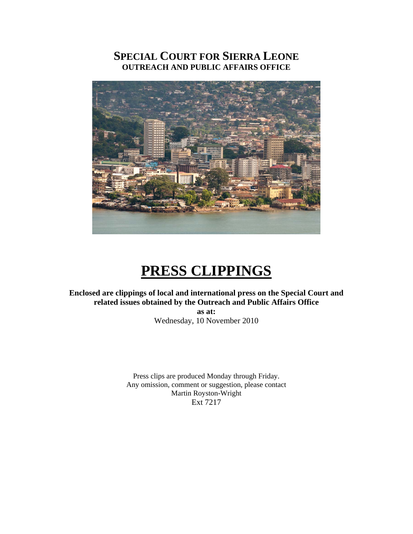# **SPECIAL COURT FOR SIERRA LEONE OUTREACH AND PUBLIC AFFAIRS OFFICE**



# **PRESS CLIPPINGS**

# **Enclosed are clippings of local and international press on the Special Court and related issues obtained by the Outreach and Public Affairs Office**

**as at:**  Wednesday, 10 November 2010

Press clips are produced Monday through Friday. Any omission, comment or suggestion, please contact Martin Royston-Wright Ext 7217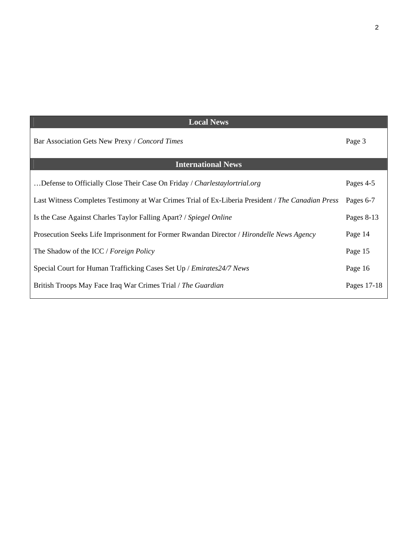| <b>Local News</b> |  |
|-------------------|--|
| Page 3            |  |
|                   |  |
| Pages 4-5         |  |
| Pages 6-7         |  |
| Pages 8-13        |  |
| Page 14           |  |
| Page 15           |  |
| Page 16           |  |
| Pages 17-18       |  |
|                   |  |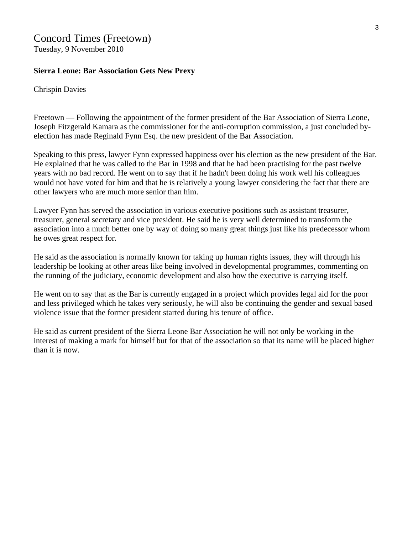# Concord Times (Freetown)

Tuesday, 9 November 2010

#### **Sierra Leone: Bar Association Gets New Prexy**

#### Chrispin Davies

Freetown — Following the appointment of the former president of the Bar Association of Sierra Leone, Joseph Fitzgerald Kamara as the commissioner for the anti-corruption commission, a just concluded byelection has made Reginald Fynn Esq. the new president of the Bar Association.

Speaking to this press, lawyer Fynn expressed happiness over his election as the new president of the Bar. He explained that he was called to the Bar in 1998 and that he had been practising for the past twelve years with no bad record. He went on to say that if he hadn't been doing his work well his colleagues would not have voted for him and that he is relatively a young lawyer considering the fact that there are other lawyers who are much more senior than him.

Lawyer Fynn has served the association in various executive positions such as assistant treasurer, treasurer, general secretary and vice president. He said he is very well determined to transform the association into a much better one by way of doing so many great things just like his predecessor whom he owes great respect for.

He said as the association is normally known for taking up human rights issues, they will through his leadership be looking at other areas like being involved in developmental programmes, commenting on the running of the judiciary, economic development and also how the executive is carrying itself.

He went on to say that as the Bar is currently engaged in a project which provides legal aid for the poor and less privileged which he takes very seriously, he will also be continuing the gender and sexual based violence issue that the former president started during his tenure of office.

He said as current president of the Sierra Leone Bar Association he will not only be working in the interest of making a mark for himself but for that of the association so that its name will be placed higher than it is now.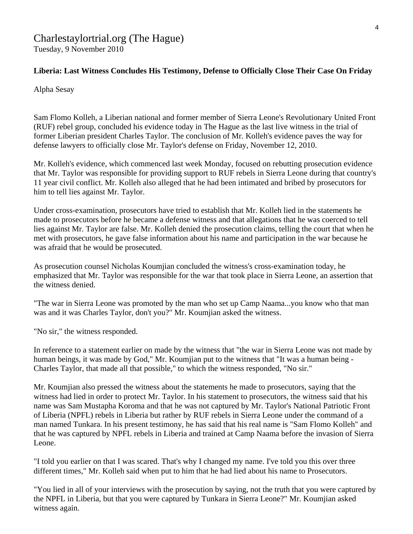# Charlestaylortrial.org (The Hague) Tuesday, 9 November 2010

# **Liberia: Last Witness Concludes His Testimony, Defense to Officially Close Their Case On Friday**

Alpha Sesay

Sam Flomo Kolleh, a Liberian national and former member of Sierra Leone's Revolutionary United Front (RUF) rebel group, concluded his evidence today in The Hague as the last live witness in the trial of former Liberian president Charles Taylor. The conclusion of Mr. Kolleh's evidence paves the way for defense lawyers to officially close Mr. Taylor's defense on Friday, November 12, 2010.

Mr. Kolleh's evidence, which commenced last week Monday, focused on rebutting prosecution evidence that Mr. Taylor was responsible for providing support to RUF rebels in Sierra Leone during that country's 11 year civil conflict. Mr. Kolleh also alleged that he had been intimated and bribed by prosecutors for him to tell lies against Mr. Taylor.

Under cross-examination, prosecutors have tried to establish that Mr. Kolleh lied in the statements he made to prosecutors before he became a defense witness and that allegations that he was coerced to tell lies against Mr. Taylor are false. Mr. Kolleh denied the prosecution claims, telling the court that when he met with prosecutors, he gave false information about his name and participation in the war because he was afraid that he would be prosecuted.

As prosecution counsel Nicholas Koumjian concluded the witness's cross-examination today, he emphasized that Mr. Taylor was responsible for the war that took place in Sierra Leone, an assertion that the witness denied.

"The war in Sierra Leone was promoted by the man who set up Camp Naama...you know who that man was and it was Charles Taylor, don't you?" Mr. Koumjian asked the witness.

"No sir," the witness responded.

In reference to a statement earlier on made by the witness that "the war in Sierra Leone was not made by human beings, it was made by God," Mr. Koumjian put to the witness that "It was a human being - Charles Taylor, that made all that possible," to which the witness responded, "No sir."

Mr. Koumjian also pressed the witness about the statements he made to prosecutors, saying that the witness had lied in order to protect Mr. Taylor. In his statement to prosecutors, the witness said that his name was Sam Mustapha Koroma and that he was not captured by Mr. Taylor's National Patriotic Front of Liberia (NPFL) rebels in Liberia but rather by RUF rebels in Sierra Leone under the command of a man named Tunkara. In his present testimony, he has said that his real name is "Sam Flomo Kolleh" and that he was captured by NPFL rebels in Liberia and trained at Camp Naama before the invasion of Sierra Leone.

"I told you earlier on that I was scared. That's why I changed my name. I've told you this over three different times," Mr. Kolleh said when put to him that he had lied about his name to Prosecutors.

"You lied in all of your interviews with the prosecution by saying, not the truth that you were captured by the NPFL in Liberia, but that you were captured by Tunkara in Sierra Leone?" Mr. Koumjian asked witness again.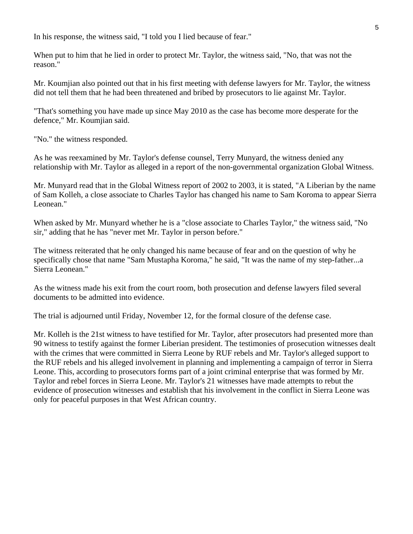In his response, the witness said, "I told you I lied because of fear."

When put to him that he lied in order to protect Mr. Taylor, the witness said, "No, that was not the reason."

Mr. Koumjian also pointed out that in his first meeting with defense lawyers for Mr. Taylor, the witness did not tell them that he had been threatened and bribed by prosecutors to lie against Mr. Taylor.

"That's something you have made up since May 2010 as the case has become more desperate for the defence," Mr. Koumjian said.

"No." the witness responded.

As he was reexamined by Mr. Taylor's defense counsel, Terry Munyard, the witness denied any relationship with Mr. Taylor as alleged in a report of the non-governmental organization Global Witness.

Mr. Munyard read that in the Global Witness report of 2002 to 2003, it is stated, "A Liberian by the name of Sam Kolleh, a close associate to Charles Taylor has changed his name to Sam Koroma to appear Sierra Leonean."

When asked by Mr. Munyard whether he is a "close associate to Charles Taylor," the witness said, "No sir," adding that he has "never met Mr. Taylor in person before."

The witness reiterated that he only changed his name because of fear and on the question of why he specifically chose that name "Sam Mustapha Koroma," he said, "It was the name of my step-father...a Sierra Leonean."

As the witness made his exit from the court room, both prosecution and defense lawyers filed several documents to be admitted into evidence.

The trial is adjourned until Friday, November 12, for the formal closure of the defense case.

Mr. Kolleh is the 21st witness to have testified for Mr. Taylor, after prosecutors had presented more than 90 witness to testify against the former Liberian president. The testimonies of prosecution witnesses dealt with the crimes that were committed in Sierra Leone by RUF rebels and Mr. Taylor's alleged support to the RUF rebels and his alleged involvement in planning and implementing a campaign of terror in Sierra Leone. This, according to prosecutors forms part of a joint criminal enterprise that was formed by Mr. Taylor and rebel forces in Sierra Leone. Mr. Taylor's 21 witnesses have made attempts to rebut the evidence of prosecution witnesses and establish that his involvement in the conflict in Sierra Leone was only for peaceful purposes in that West African country.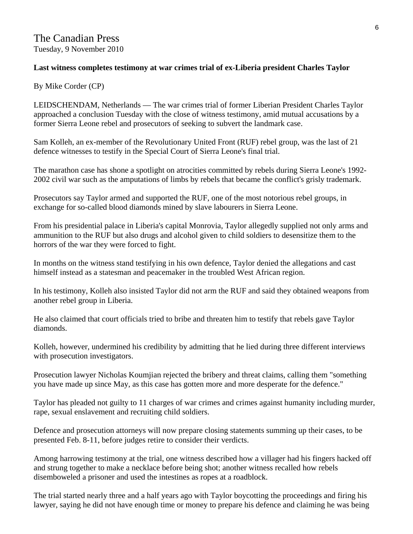# **Last witness completes testimony at war crimes trial of ex-Liberia president Charles Taylor**

By Mike Corder (CP)

LEIDSCHENDAM, Netherlands — The war crimes trial of former Liberian President Charles Taylor approached a conclusion Tuesday with the close of witness testimony, amid mutual accusations by a former Sierra Leone rebel and prosecutors of seeking to subvert the landmark case.

Sam Kolleh, an ex-member of the Revolutionary United Front (RUF) rebel group, was the last of 21 defence witnesses to testify in the Special Court of Sierra Leone's final trial.

The marathon case has shone a spotlight on atrocities committed by rebels during Sierra Leone's 1992- 2002 civil war such as the amputations of limbs by rebels that became the conflict's grisly trademark.

Prosecutors say Taylor armed and supported the RUF, one of the most notorious rebel groups, in exchange for so-called blood diamonds mined by slave labourers in Sierra Leone.

From his presidential palace in Liberia's capital Monrovia, Taylor allegedly supplied not only arms and ammunition to the RUF but also drugs and alcohol given to child soldiers to desensitize them to the horrors of the war they were forced to fight.

In months on the witness stand testifying in his own defence, Taylor denied the allegations and cast himself instead as a statesman and peacemaker in the troubled West African region.

In his testimony, Kolleh also insisted Taylor did not arm the RUF and said they obtained weapons from another rebel group in Liberia.

He also claimed that court officials tried to bribe and threaten him to testify that rebels gave Taylor diamonds.

Kolleh, however, undermined his credibility by admitting that he lied during three different interviews with prosecution investigators.

Prosecution lawyer Nicholas Koumjian rejected the bribery and threat claims, calling them "something you have made up since May, as this case has gotten more and more desperate for the defence."

Taylor has pleaded not guilty to 11 charges of war crimes and crimes against humanity including murder, rape, sexual enslavement and recruiting child soldiers.

Defence and prosecution attorneys will now prepare closing statements summing up their cases, to be presented Feb. 8-11, before judges retire to consider their verdicts.

Among harrowing testimony at the trial, one witness described how a villager had his fingers hacked off and strung together to make a necklace before being shot; another witness recalled how rebels disemboweled a prisoner and used the intestines as ropes at a roadblock.

The trial started nearly three and a half years ago with Taylor boycotting the proceedings and firing his lawyer, saying he did not have enough time or money to prepare his defence and claiming he was being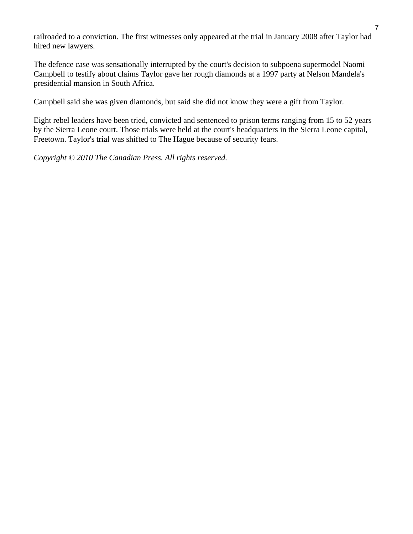railroaded to a conviction. The first witnesses only appeared at the trial in January 2008 after Taylor had hired new lawyers.

The defence case was sensationally interrupted by the court's decision to subpoena supermodel Naomi Campbell to testify about claims Taylor gave her rough diamonds at a 1997 party at Nelson Mandela's presidential mansion in South Africa.

Campbell said she was given diamonds, but said she did not know they were a gift from Taylor.

Eight rebel leaders have been tried, convicted and sentenced to prison terms ranging from 15 to 52 years by the Sierra Leone court. Those trials were held at the court's headquarters in the Sierra Leone capital, Freetown. Taylor's trial was shifted to The Hague because of security fears.

*Copyright © 2010 The Canadian Press. All rights reserved.*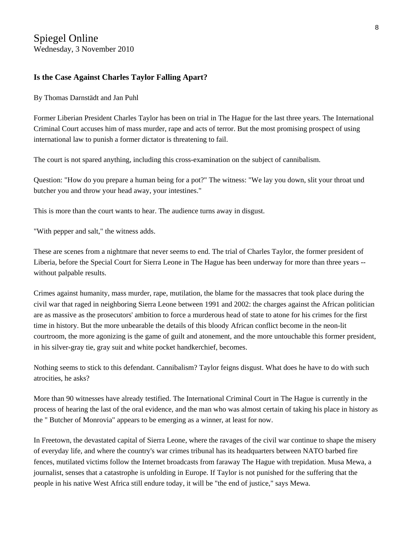## **Is the Case Against Charles Taylor Falling Apart?**

By [Thomas Darnstädt](mailto:Thomas_Darnst%C3%A4dt@spiegel.de) and Jan Puhl

Former Liberian President Charles Taylor has been on trial in The Hague for the last three years. The International Criminal Court accuses him of mass murder, rape and acts of terror. But the most promising prospect of using international law to punish a former dictator is threatening to fail.

The court is not spared anything, including this cross-examination on the subject of cannibalism.

Question: "How do you prepare a human being for a pot?" The witness: "We lay you down, slit your throat und butcher you and throw your head away, your intestines."

This is more than the court wants to hear. The audience turns away in disgust.

"With pepper and salt," the witness adds.

These are scenes from a nightmare that never seems to end. The trial of Charles Taylor, the former president of Liberia, before the Special Court for Sierra Leone in The Hague has been underway for more than three years - without palpable results.

Crimes against humanity, mass murder, rape, mutilation, the blame for the massacres that took place during the civil war that raged in neighboring Sierra Leone between 1991 and 2002: the charges against the African politician are as massive as the prosecutors' ambition to force a murderous head of state to atone for his crimes for the first time in history. But the more unbearable the details of this bloody African conflict become in the neon-lit courtroom, the more agonizing is the game of guilt and atonement, and the more untouchable this former president, in his silver-gray tie, gray suit and white pocket handkerchief, becomes.

Nothing seems to stick to this defendant. Cannibalism? Taylor feigns disgust. What does he have to do with such atrocities, he asks?

More than 90 witnesses have already testified. The [International Criminal Court](http://www.spiegel.de/international/world/0,1518,601258,00.html) in The Hague is currently in the process of hearing the last of the oral evidence, and the man who was almost certain of taking his place in history as the " [Butcher of Monrovia](http://www.spiegel.de/international/world/0,1518,526692,00.html)" appears to be emerging as a winner, at least for now.

In Freetown, the devastated capital of Sierra Leone, where the ravages of the civil war continue to shape the misery of everyday life, and where the country's war crimes tribunal has its headquarters between NATO barbed fire fences, mutilated victims follow the Internet broadcasts from faraway The Hague with trepidation. Musa Mewa, a journalist, senses that a catastrophe is unfolding in Europe. If Taylor is not punished for the suffering that the people in his native West Africa still endure today, it will be "the end of justice," says Mewa.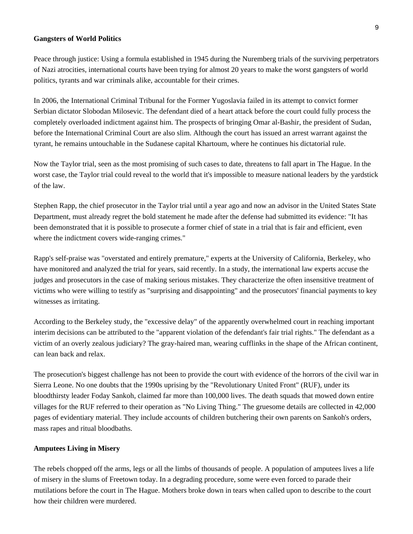#### **Gangsters of World Politics**

Peace through justice: Using a formula established in 1945 during the Nuremberg trials of the surviving perpetrators of Nazi atrocities, international courts have been trying for almost 20 years to make the worst gangsters of world politics, tyrants and war criminals alike, accountable for their crimes.

In 2006, the International Criminal Tribunal for the Former Yugoslavia failed in its attempt to convict former Serbian dictator Slobodan Milosevic. The defendant died of a heart attack before the court could fully process the completely overloaded indictment against him. The prospects of bringing [Omar al-Bashir,](http://www.spiegel.de/international/world/0,1518,565924,00.html) the president of Sudan, before the International Criminal Court are also slim. Although the court has issued an arrest warrant against the tyrant, he remains untouchable in the Sudanese capital Khartoum, where he continues his dictatorial rule.

Now the Taylor trial, seen as the most promising of such cases to date, threatens to fall apart in The Hague. In the worst case, the Taylor trial could reveal to the world that it's impossible to measure national leaders by the yardstick of the law.

Stephen Rapp, the chief prosecutor in the Taylor trial until a year ago and now an advisor in the United States State Department, must already regret the bold statement he made after the defense had submitted its evidence: "It has been demonstrated that it is possible to prosecute a former chief of state in a trial that is fair and efficient, even where the indictment covers wide-ranging crimes."

Rapp's self-praise was "overstated and entirely premature," experts at the University of California, Berkeley, who have monitored and analyzed the trial for years, said recently. In a study, the international law experts accuse the judges and prosecutors in the case of making serious mistakes. They characterize the often insensitive treatment of victims who were willing to testify as "surprising and disappointing" and the prosecutors' financial payments to key witnesses as irritating.

According to the Berkeley study, the "excessive delay" of the apparently overwhelmed court in reaching important interim decisions can be attributed to the "apparent violation of the defendant's fair trial rights." The defendant as a victim of an overly zealous judiciary? The gray-haired man, wearing cufflinks in the shape of the African continent, can lean back and relax.

The prosecution's biggest challenge has not been to provide the court with evidence of the horrors of the civil war in Sierra Leone. No one doubts that the 1990s uprising by the "Revolutionary United Front" (RUF), under its bloodthirsty leader Foday Sankoh, claimed far more than 100,000 lives. The death squads that mowed down entire villages for the RUF referred to their operation as "No Living Thing." The gruesome details are collected in 42,000 pages of evidentiary material. They include accounts of children butchering their own parents on Sankoh's orders, mass rapes and ritual bloodbaths.

#### **Amputees Living in Misery**

The rebels chopped off the arms, legs or all the limbs of thousands of people. A population of amputees lives a life of misery in the slums of Freetown today. In a degrading procedure, some were even forced to parade their mutilations before the court in The Hague. Mothers broke down in tears when called upon to describe to the court how their children were murdered.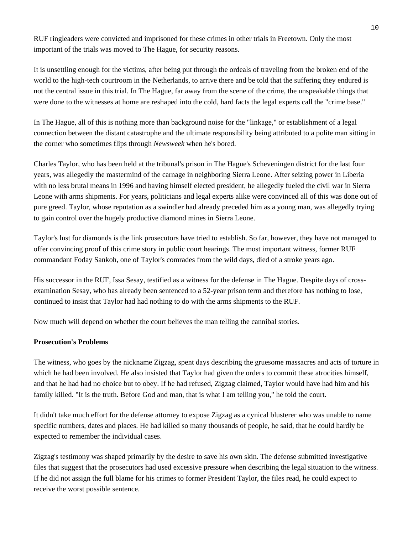RUF ringleaders were convicted and imprisoned for these crimes in other trials in Freetown. Only the most important of the trials was moved to The Hague, for security reasons.

It is unsettling enough for the victims, after being put through the ordeals of traveling from the broken end of the world to the high-tech courtroom in the Netherlands, to arrive there and be told that the suffering they endured is not the central issue in this trial. In The Hague, far away from the scene of the crime, the unspeakable things that were done to the witnesses at home are reshaped into the cold, hard facts the legal experts call the "crime base."

In The Hague, all of this is nothing more than background noise for the "linkage," or establishment of a legal connection between the distant catastrophe and the ultimate responsibility being attributed to a polite man sitting in the corner who sometimes flips through *Newsweek* when he's bored.

Charles Taylor, who has been held at the tribunal's prison in The Hague's Scheveningen district for the last four years, was allegedly the mastermind of the carnage in neighboring Sierra Leone. After seizing power in Liberia with no less brutal means in 1996 and having himself elected president, he allegedly fueled the civil war in Sierra Leone with arms shipments. For years, politicians and legal experts alike were convinced all of this was done out of pure greed. Taylor, whose reputation as a swindler had already preceded him as a young man, was allegedly trying to gain control over the hugely productive diamond mines in Sierra Leone.

Taylor's lust for diamonds is the link prosecutors have tried to establish. So far, however, they have not managed to offer convincing proof of this crime story in public court hearings. The most important witness, former RUF commandant Foday Sankoh, one of Taylor's comrades from the wild days, died of a stroke years ago.

His successor in the RUF, Issa Sesay, testified as a witness for the defense in The Hague. Despite days of crossexamination Sesay, who has already been sentenced to a 52-year prison term and therefore has nothing to lose, continued to insist that Taylor had had nothing to do with the arms shipments to the RUF.

Now much will depend on whether the court believes the man telling the cannibal stories.

#### **Prosecution's Problems**

The witness, who goes by the nickname Zigzag, spent days describing the gruesome massacres and acts of torture in which he had been involved. He also insisted that Taylor had given the orders to commit these atrocities himself, and that he had had no choice but to obey. If he had refused, Zigzag claimed, Taylor would have had him and his family killed. "It is the truth. Before God and man, that is what I am telling you," he told the court.

It didn't take much effort for the defense attorney to expose Zigzag as a cynical blusterer who was unable to name specific numbers, dates and places. He had killed so many thousands of people, he said, that he could hardly be expected to remember the individual cases.

Zigzag's testimony was shaped primarily by the desire to save his own skin. The defense submitted investigative files that suggest that the prosecutors had used excessive pressure when describing the legal situation to the witness. If he did not assign the full blame for his crimes to former President Taylor, the files read, he could expect to receive the worst possible sentence.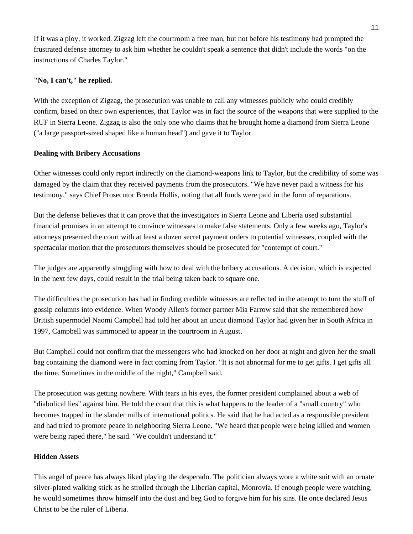If it was a ploy, it worked. Zigzag left the courtroom a free man, but not before his testimony had prompted the frustrated defense attorney to ask him whether he couldn't speak a sentence that didn't include the words "on the instructions of Charles Taylor."

#### **"No, I can't," he replied.**

With the exception of Zigzag, the prosecution was unable to call any witnesses publicly who could credibly confirm, based on their own experiences, that Taylor was in fact the source of the weapons that were supplied to the RUF in Sierra Leone. Zigzag is also the only one who claims that he brought home a diamond from Sierra Leone ("a large passport-sized shaped like a human head") and gave it to Taylor.

#### **Dealing with Bribery Accusations**

Other witnesses could only report indirectly on the diamond-weapons link to Taylor, but the credibility of some was damaged by the claim that they received payments from the prosecutors. "We have never paid a witness for his testimony," says Chief Prosecutor Brenda Hollis, noting that all funds were paid in the form of reparations.

But the defense believes that it can prove that the investigators in Sierra Leone and Liberia used substantial financial promises in an attempt to convince witnesses to make false statements. Only a few weeks ago, Taylor's attorneys presented the court with at least a dozen secret payment orders to potential witnesses, coupled with the spectacular motion that the prosecutors themselves should be prosecuted for "contempt of court."

The judges are apparently struggling with how to deal with the bribery accusations. A decision, which is expected in the next few days, could result in the trial being taken back to square one.

The difficulties the prosecution has had in finding credible witnesses are reflected in the attempt to turn the stuff of gossip columns into evidence. When Woody Allen's former partner Mia Farrow said that she remembered how British supermodel Naomi Campbell had told her about an uncut diamond Taylor had given her in South Africa in 1997, Campbell was summoned to appear in the courtroom in August.

But Campbell could not confirm that the messengers who had knocked on her door at night and given her the small bag containing the diamond were in fact coming from Taylor. "It is not abnormal for me to get gifts. I get gifts all the time. Sometimes in the middle of the night," Campbell said.

The prosecution was getting nowhere. With tears in his eyes, the former president complained about a web of "diabolical lies" against him. He told the court that this is what happens to the leader of a "small country" who becomes trapped in the slander mills of international politics. He said that he had acted as a responsible president and had tried to promote peace in neighboring Sierra Leone. "We heard that people were being killed and women were being raped there," he said. "We couldn't understand it."

#### **Hidden Assets**

This angel of peace has always liked playing the desperado. The politician always wore a white suit with an ornate silver-plated walking stick as he strolled through the Liberian capital, Monrovia. If enough people were watching, he would sometimes throw himself into the dust and beg God to forgive him for his sins. He once declared Jesus Christ to be the ruler of Liberia.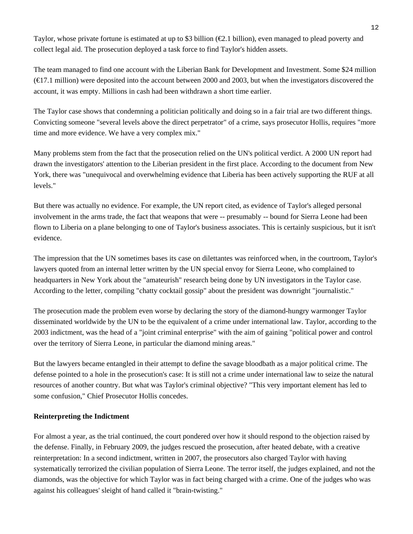Taylor, whose private fortune is estimated at up to \$3 billion ( $\epsilon$ 2.1 billion), even managed to plead poverty and collect legal aid. The prosecution deployed a task force to find Taylor's hidden assets.

The team managed to find one account with the Liberian Bank for Development and Investment. Some \$24 million  $(\text{€7.1 million})$  were deposited into the account between 2000 and 2003, but when the investigators discovered the account, it was empty. Millions in cash had been withdrawn a short time earlier.

The Taylor case shows that condemning a politician politically and doing so in a fair trial are two different things. Convicting someone "several levels above the direct perpetrator" of a crime, says prosecutor Hollis, requires "more time and more evidence. We have a very complex mix."

Many problems stem from the fact that the prosecution relied on the UN's political verdict. A 2000 UN report had drawn the investigators' attention to the Liberian president in the first place. According to the document from New York, there was "unequivocal and overwhelming evidence that Liberia has been actively supporting the RUF at all levels."

But there was actually no evidence. For example, the UN report cited, as evidence of Taylor's alleged personal involvement in the arms trade, the fact that weapons that were -- presumably -- bound for Sierra Leone had been flown to Liberia on a plane belonging to one of Taylor's business associates. This is certainly suspicious, but it isn't evidence.

The impression that the UN sometimes bases its case on dilettantes was reinforced when, in the courtroom, Taylor's lawyers quoted from an internal letter written by the UN special envoy for Sierra Leone, who complained to headquarters in New York about the "amateurish" research being done by UN investigators in the Taylor case. According to the letter, compiling "chatty cocktail gossip" about the president was downright "journalistic."

The prosecution made the problem even worse by declaring the story of the diamond-hungry warmonger Taylor disseminated worldwide by the UN to be the equivalent of a crime under international law. Taylor, according to the 2003 indictment, was the head of a "joint criminal enterprise" with the aim of gaining "political power and control over the territory of Sierra Leone, in particular the diamond mining areas."

But the lawyers became entangled in their attempt to define the savage bloodbath as a major political crime. The defense pointed to a hole in the prosecution's case: It is still not a crime under international law to seize the natural resources of another country. But what was Taylor's criminal objective? "This very important element has led to some confusion," Chief Prosecutor Hollis concedes.

#### **Reinterpreting the Indictment**

For almost a year, as the trial continued, the court pondered over how it should respond to the objection raised by the defense. Finally, in February 2009, the judges rescued the prosecution, after heated debate, with a creative reinterpretation: In a second indictment, written in 2007, the prosecutors also charged Taylor with having systematically terrorized the civilian population of Sierra Leone. The terror itself, the judges explained, and not the diamonds, was the objective for which Taylor was in fact being charged with a crime. One of the judges who was against his colleagues' sleight of hand called it "brain-twisting."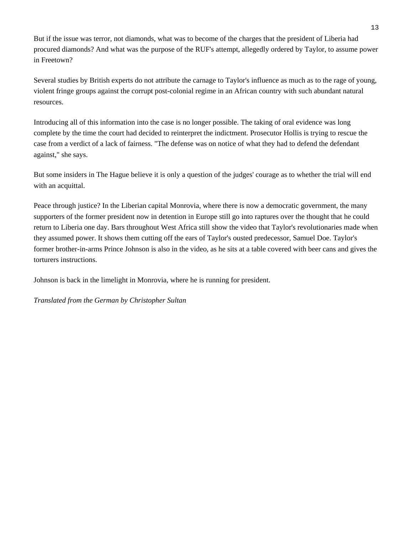But if the issue was terror, not diamonds, what was to become of the charges that the president of Liberia had procured diamonds? And what was the purpose of the RUF's attempt, allegedly ordered by Taylor, to assume power in Freetown?

Several studies by British experts do not attribute the carnage to Taylor's influence as much as to the rage of young, violent fringe groups against the corrupt post-colonial regime in an African country with such abundant natural resources.

Introducing all of this information into the case is no longer possible. The taking of oral evidence was long complete by the time the court had decided to reinterpret the indictment. Prosecutor Hollis is trying to rescue the case from a verdict of a lack of fairness. "The defense was on notice of what they had to defend the defendant against," she says.

But some insiders in The Hague believe it is only a question of the judges' courage as to whether the trial will end with an acquittal.

Peace through justice? In the Liberian capital Monrovia, where there is now a democratic government, the many supporters of the former president now in detention in Europe still go into raptures over the thought that he could return to Liberia one day. Bars throughout West Africa still show the video that Taylor's revolutionaries made when they assumed power. It shows them cutting off the ears of Taylor's ousted predecessor, Samuel Doe. Taylor's former brother-in-arms Prince Johnson is also in the video, as he sits at a table covered with beer cans and gives the torturers instructions.

Johnson is back in the limelight in Monrovia, where he is running for president.

*Translated from the German by Christopher Sultan*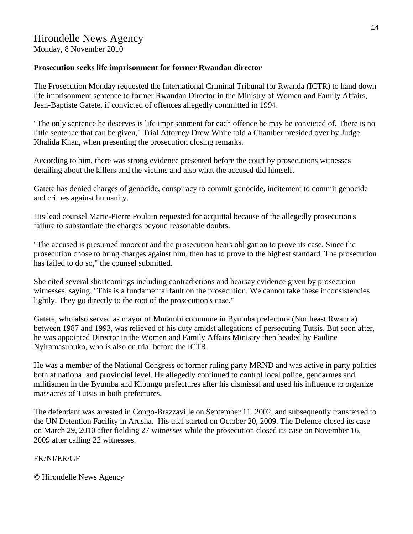Monday, 8 November 2010

# **Prosecution seeks life imprisonment for former Rwandan director**

The Prosecution Monday requested the International Criminal Tribunal for Rwanda (ICTR) to hand down life imprisonment sentence to former Rwandan Director in the Ministry of Women and Family Affairs, Jean-Baptiste Gatete, if convicted of offences allegedly committed in 1994.

"The only sentence he deserves is life imprisonment for each offence he may be convicted of. There is no little sentence that can be given," Trial Attorney Drew White told a Chamber presided over by Judge Khalida Khan, when presenting the prosecution closing remarks.

According to him, there was strong evidence presented before the court by prosecutions witnesses detailing about the killers and the victims and also what the accused did himself.

Gatete has denied charges of genocide, conspiracy to commit genocide, incitement to commit genocide and crimes against humanity.

His lead counsel Marie-Pierre Poulain requested for acquittal because of the allegedly prosecution's failure to substantiate the charges beyond reasonable doubts.

"The accused is presumed innocent and the prosecution bears obligation to prove its case. Since the prosecution chose to bring charges against him, then has to prove to the highest standard. The prosecution has failed to do so," the counsel submitted.

She cited several shortcomings including contradictions and hearsay evidence given by prosecution witnesses, saying, "This is a fundamental fault on the prosecution. We cannot take these inconsistencies lightly. They go directly to the root of the prosecution's case."

Gatete, who also served as mayor of Murambi commune in Byumba prefecture (Northeast Rwanda) between 1987 and 1993, was relieved of his duty amidst allegations of persecuting Tutsis. But soon after, he was appointed Director in the Women and Family Affairs Ministry then headed by Pauline Nyiramasuhuko, who is also on trial before the ICTR.

He was a member of the National Congress of former ruling party MRND and was active in party politics both at national and provincial level. He allegedly continued to control local police, gendarmes and militiamen in the Byumba and Kibungo prefectures after his dismissal and used his influence to organize massacres of Tutsis in both prefectures.

The defendant was arrested in Congo-Brazzaville on September 11, 2002, and subsequently transferred to the UN Detention Facility in Arusha. His trial started on October 20, 2009. The Defence closed its case on March 29, 2010 after fielding 27 witnesses while the prosecution closed its case on November 16, 2009 after calling 22 witnesses.

# FK/NI/ER/GF

© Hirondelle News Agency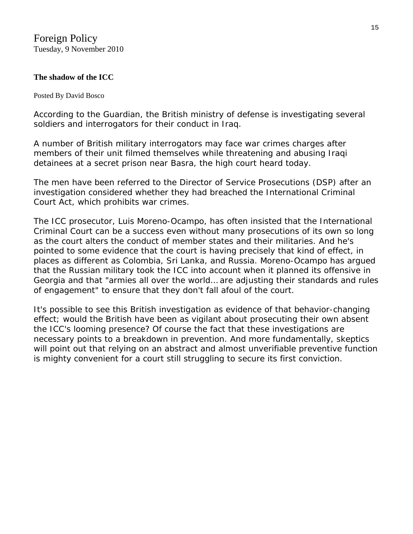# **[The shadow of the ICC](http://bosco.foreignpolicy.com/posts/2010/11/09/the_shadow_of_the_icc)**

### Posted By [David Bosco](http://bosco.foreignpolicy.com/blog/7)

According to the *Guardian*, the British ministry of defense is [investigating](http://www.guardian.co.uk/uk/2010/nov/09/british-military-iraq-war-crimes) several soldiers and interrogators for their conduct in Iraq.

A number of British military interrogators may face war crimes charges after members of their unit filmed themselves while threatening and abusing Iraqi detainees at a secret prison near Basra, the high court heard today.

The men have been referred to the Director of Service Prosecutions (DSP) after an investigation considered whether they had breached the International Criminal Court Act, which prohibits war crimes.

The ICC prosecutor, [Luis Moreno-Ocampo,](http://www.icc-cpi.int/menus/icc/structure+of+the+court/office+of+the+prosecutor/biographies/the+prosecutor.htm) has often insisted that the International Criminal Court can be a success even without many prosecutions of its own so long as the court alters the conduct of member states and their militaries. And he's pointed to some evidence that the court is having precisely that kind of effect, in places as different as Colombia, Sri Lanka, and Russia. Moreno-Ocampo has [argued](http://www.icc-cpi.int/NR/rdonlyres/CDF496C7-7BA7-4AA3-B670-1EE85BC3E3E8/281268/20091118ASPspeech.pdf) that the Russian military took the ICC into account when it planned its offensive in Georgia and that "armies all over the world… are adjusting their standards and rules of engagement" to ensure that they don't fall afoul of the court.

It's possible to see this British investigation as evidence of that behavior-changing effect; would the British have been as vigilant about prosecuting their own absent the ICC's looming presence? Of course the fact that these investigations are necessary points to a breakdown in prevention. And more fundamentally, skeptics will point out that relying on an abstract and almost unverifiable preventive function is mighty convenient for a court still struggling to secure its first conviction.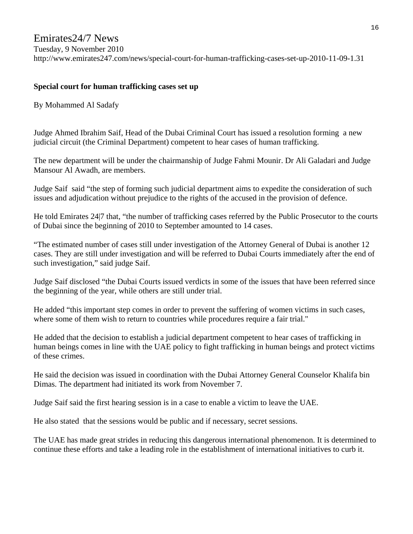# Emirates24/7 News

Tuesday, 9 November 2010

http://www.emirates247.com/news/special-court-for-human-trafficking-cases-set-up-2010-11-09-1.31

## **Special court for human trafficking cases set up**

By Mohammed Al Sadafy

Judge Ahmed Ibrahim Saif, Head of the Dubai Criminal Court has issued a resolution forming a new judicial circuit (the Criminal Department) competent to hear cases of human trafficking.

The new department will be under the chairmanship of Judge Fahmi Mounir. Dr Ali Galadari and Judge Mansour Al Awadh, are members.

Judge Saif said "the step of forming such judicial department aims to expedite the consideration of such issues and adjudication without prejudice to the rights of the accused in the provision of defence.

He told Emirates 24|7 that, "the number of trafficking cases referred by the Public Prosecutor to the courts of Dubai since the beginning of 2010 to September amounted to 14 cases.

"The estimated number of cases still under investigation of the Attorney General of Dubai is another 12 cases. They are still under investigation and will be referred to Dubai Courts immediately after the end of such investigation," said judge Saif.

Judge Saif disclosed "the Dubai Courts issued verdicts in some of the issues that have been referred since the beginning of the year, while others are still under trial.

He added "this important step comes in order to prevent the suffering of women victims in such cases, where some of them wish to return to countries while procedures require a fair trial."

He added that the decision to establish a judicial department competent to hear cases of trafficking in human beings comes in line with the UAE policy to fight trafficking in human beings and protect victims of these crimes.

He said the decision was issued in coordination with the Dubai Attorney General Counselor Khalifa bin Dimas. The department had initiated its work from November 7.

Judge Saif said the first hearing session is in a case to enable a victim to leave the UAE.

He also stated that the sessions would be public and if necessary, secret sessions.

The UAE has made great strides in reducing this dangerous international phenomenon. It is determined to continue these efforts and take a leading role in the establishment of international initiatives to curb it.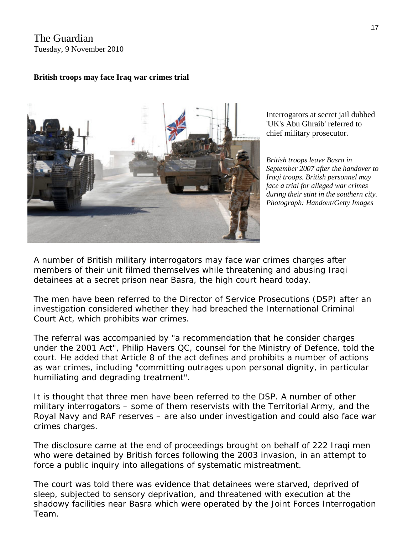# The Guardian Tuesday, 9 November 2010

# **British troops may face Iraq war crimes trial**



Interrogators at secret jail dubbed 'UK's Abu Ghraib' referred to chief military prosecutor.

September 2007 after the handover to *s face a trial for alleged war crime during their stint in the southern city. Images Photograph: Handout/Getty British troops leave Basra in Iraqi troops. British personnel may*

A number of British military interrogators may face war crimes charges after members of their unit filmed themselves while threatening and abusing Iraqi detainees at a secret prison near Basra, the high court heard today.

The men have been referred to the Director of Service Prosecutions (DSP) after an investigation considered whether they had breached the International Criminal Court Act, which prohibits war crimes.

The referral was accompanied by "a recommendation that he consider charges under the 2001 Act", Philip Havers QC, counsel for the Ministry of Defence, told the court. He added that Article 8 of the act defines and prohibits a number of actions as war crimes, including "committing outrages upon personal dignity, in particular humiliating and degrading treatment".

It is thought that three men have been referred to the DSP. A number of other military interrogators – some of them reservists with the Territorial Army, and the Royal Navy and RAF reserves – are also under investigation and could also face war crimes charges.

The disclosure came at the end of proceedings brought on behalf of 222 Iraqi men who were detained by British forces following the 2003 invasion, in an attempt to force a public inquiry into allegations of systematic mistreatment.

The court was told there was evidence that detainees were starved, deprived of shadowy facilities near Basra which were operated by the Joint Forces Interrogation Team. sleep, subjected to sensory deprivation, and threatened with execution at the